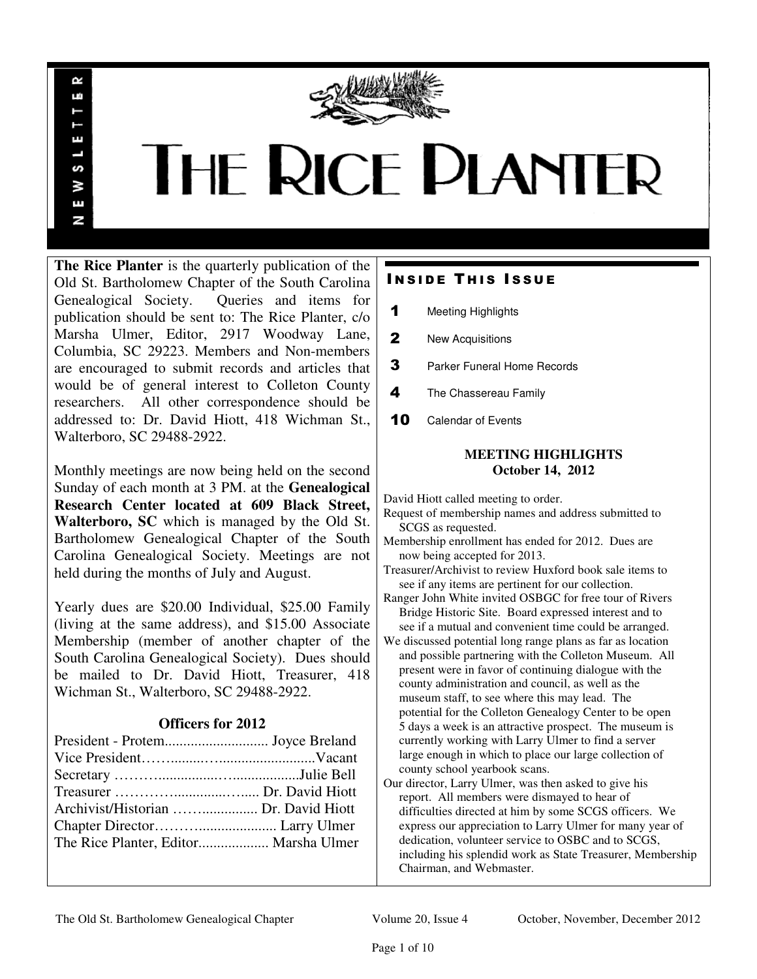

# **THE RICE PLANTER**

**The Rice Planter** is the quarterly publication of the Old St. Bartholomew Chapter of the South Carolina Genealogical Society. Queries and items for publication should be sent to: The Rice Planter, c/o Marsha Ulmer, Editor, 2917 Woodway Lane, Columbia, SC 29223. Members and Non-members are encouraged to submit records and articles that would be of general interest to Colleton County researchers. All other correspondence should be addressed to: Dr. David Hiott, 418 Wichman St., Walterboro, SC 29488-2922.

 $\sim$ uń

ш

S š E N

Monthly meetings are now being held on the second Sunday of each month at 3 PM. at the **Genealogical Research Center located at 609 Black Street, Walterboro, SC** which is managed by the Old St. Bartholomew Genealogical Chapter of the South Carolina Genealogical Society. Meetings are not held during the months of July and August.

Yearly dues are \$20.00 Individual, \$25.00 Family (living at the same address), and \$15.00 Associate Membership (member of another chapter of the South Carolina Genealogical Society). Dues should be mailed to Dr. David Hiott, Treasurer, 418 Wichman St., Walterboro, SC 29488-2922.

# **Officers for 2012**

| Archivist/Historian  Dr. David Hiott |  |
|--------------------------------------|--|
|                                      |  |
|                                      |  |
|                                      |  |

# **INSIDE THIS ISSUE**

- 1 Meeting Highlights
- 2 New Acquisitions
- **3** Parker Funeral Home Records
- 4 The Chassereau Family
- 10 Calendar of Events

# **MEETING HIGHLIGHTS October 14, 2012**

David Hiott called meeting to order.

- Request of membership names and address submitted to SCGS as requested.
- Membership enrollment has ended for 2012. Dues are now being accepted for 2013.
- Treasurer/Archivist to review Huxford book sale items to see if any items are pertinent for our collection.

Ranger John White invited OSBGC for free tour of Rivers Bridge Historic Site. Board expressed interest and to see if a mutual and convenient time could be arranged.

- We discussed potential long range plans as far as location and possible partnering with the Colleton Museum. All present were in favor of continuing dialogue with the county administration and council, as well as the museum staff, to see where this may lead. The potential for the Colleton Genealogy Center to be open 5 days a week is an attractive prospect. The museum is currently working with Larry Ulmer to find a server large enough in which to place our large collection of county school yearbook scans.
- Our director, Larry Ulmer, was then asked to give his report. All members were dismayed to hear of difficulties directed at him by some SCGS officers. We express our appreciation to Larry Ulmer for many year of dedication, volunteer service to OSBC and to SCGS, including his splendid work as State Treasurer, Membership Chairman, and Webmaster.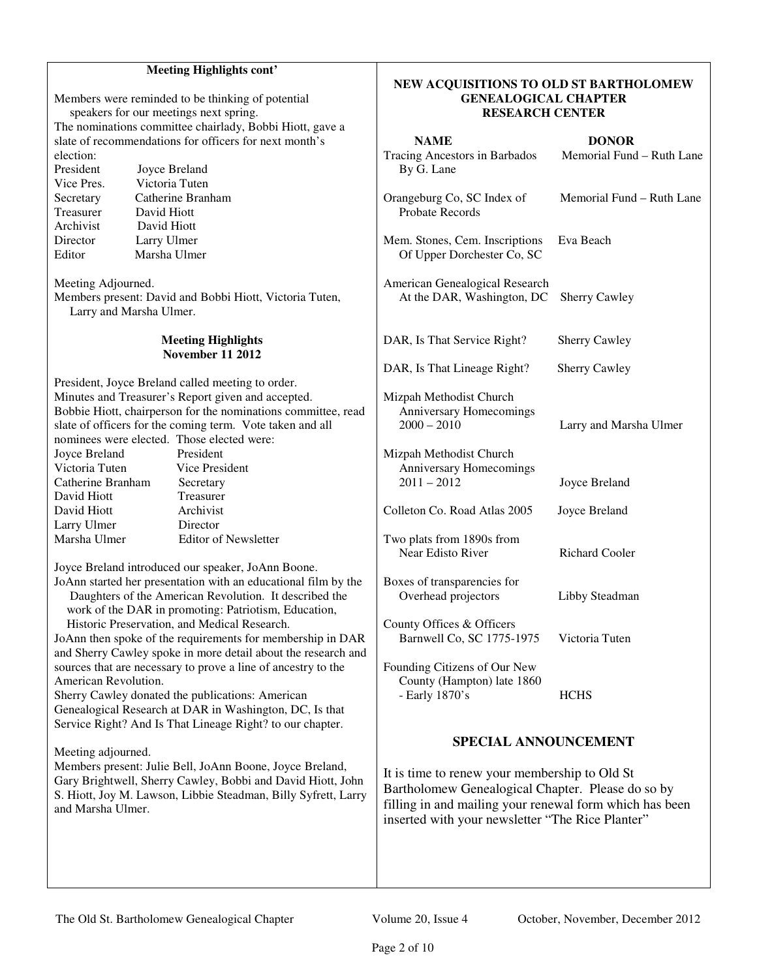# **Meeting Highlights cont'**

Members were reminded to be thinking of potential speakers for our meetings next spring. The nominations committee chairlady, Bobbi Hiott, gave a slate of recommendations for officers for next month's election: President Joyce Breland Vice Pres. Victoria Tuten Secretary Catherine Branham Treasurer David Hiott<br>Archivist David Hiott David Hiott Director Larry Ulmer Editor Marsha Ulmer

Meeting Adjourned. Members present: David and Bobbi Hiott, Victoria Tuten, Larry and Marsha Ulmer.

#### **Meeting Highlights November 11 2012**

President, Joyce Breland called meeting to order. Minutes and Treasurer's Report given and accepted. Bobbie Hiott, chairperson for the nominations committee, read slate of officers for the coming term. Vote taken and all nominees were elected. Those elected were:

| Joyce Breland     | President                   |
|-------------------|-----------------------------|
| Victoria Tuten    | Vice President              |
| Catherine Branham | Secretary                   |
| David Hiott       | Treasurer                   |
| David Hiott       | Archivist                   |
| Larry Ulmer       | Director                    |
| Marsha Ulmer      | <b>Editor of Newsletter</b> |

Joyce Breland introduced our speaker, JoAnn Boone.

JoAnn started her presentation with an educational film by the Daughters of the American Revolution. It described the work of the DAR in promoting: Patriotism, Education, Historic Preservation, and Medical Research.

JoAnn then spoke of the requirements for membership in DAR and Sherry Cawley spoke in more detail about the research and sources that are necessary to prove a line of ancestry to the American Revolution.

Sherry Cawley donated the publications: American Genealogical Research at DAR in Washington, DC, Is that Service Right? And Is That Lineage Right? to our chapter.

# Meeting adjourned.

Members present: Julie Bell, JoAnn Boone, Joyce Breland, Gary Brightwell, Sherry Cawley, Bobbi and David Hiott, John S. Hiott, Joy M. Lawson, Libbie Steadman, Billy Syfrett, Larry and Marsha Ulmer.

# **NEW ACQUISITIONS TO OLD ST BARTHOLOMEW GENEALOGICAL CHAPTER RESEARCH CENTER**

| <b>NAME</b><br>Tracing Ancestors in Barbados<br>By G. Lane                   | <b>DONOR</b><br>Memorial Fund - Ruth Lane |
|------------------------------------------------------------------------------|-------------------------------------------|
| Orangeburg Co, SC Index of<br><b>Probate Records</b>                         | Memorial Fund – Ruth Lane                 |
| Mem. Stones, Cem. Inscriptions<br>Of Upper Dorchester Co, SC                 | Eva Beach                                 |
| American Genealogical Research<br>At the DAR, Washington, DC                 | <b>Sherry Cawley</b>                      |
| DAR, Is That Service Right?                                                  | <b>Sherry Cawley</b>                      |
| DAR, Is That Lineage Right?                                                  | <b>Sherry Cawley</b>                      |
| Mizpah Methodist Church<br>Anniversary Homecomings<br>$2000 - 2010$          | Larry and Marsha Ulmer                    |
| Mizpah Methodist Church<br>Anniversary Homecomings<br>$2011 - 2012$          | Joyce Breland                             |
| Colleton Co. Road Atlas 2005                                                 | Joyce Breland                             |
| Two plats from 1890s from<br>Near Edisto River                               | <b>Richard Cooler</b>                     |
| Boxes of transparencies for<br>Overhead projectors                           | Libby Steadman                            |
| County Offices & Officers<br>Barnwell Co, SC 1775-1975                       | Victoria Tuten                            |
| Founding Citizens of Our New<br>County (Hampton) late 1860<br>- Early 1870's | HCHS                                      |

# **SPECIAL ANNOUNCEMENT**

It is time to renew your membership to Old St Bartholomew Genealogical Chapter. Please do so by filling in and mailing your renewal form which has been inserted with your newsletter "The Rice Planter"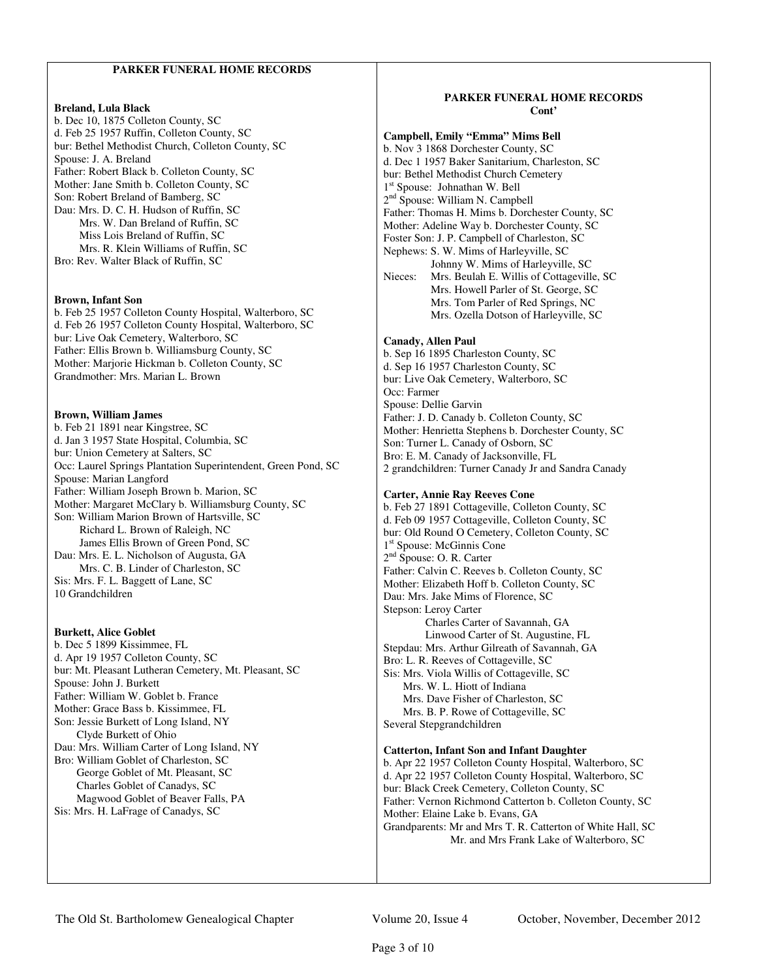# **PARKER FUNERAL HOME RECORDS**

#### **Breland, Lula Black**

b. Dec 10, 1875 Colleton County, SC d. Feb 25 1957 Ruffin, Colleton County, SC bur: Bethel Methodist Church, Colleton County, SC Spouse: J. A. Breland Father: Robert Black b. Colleton County, SC Mother: Jane Smith b. Colleton County, SC Son: Robert Breland of Bamberg, SC Dau: Mrs. D. C. H. Hudson of Ruffin, SC Mrs. W. Dan Breland of Ruffin, SC Miss Lois Breland of Ruffin, SC Mrs. R. Klein Williams of Ruffin, SC Bro: Rev. Walter Black of Ruffin, SC

#### **Brown, Infant Son**

b. Feb 25 1957 Colleton County Hospital, Walterboro, SC d. Feb 26 1957 Colleton County Hospital, Walterboro, SC bur: Live Oak Cemetery, Walterboro, SC Father: Ellis Brown b. Williamsburg County, SC Mother: Marjorie Hickman b. Colleton County, SC Grandmother: Mrs. Marian L. Brown

## **Brown, William James**

b. Feb 21 1891 near Kingstree, SC d. Jan 3 1957 State Hospital, Columbia, SC bur: Union Cemetery at Salters, SC Occ: Laurel Springs Plantation Superintendent, Green Pond, SC Spouse: Marian Langford Father: William Joseph Brown b. Marion, SC Mother: Margaret McClary b. Williamsburg County, SC Son: William Marion Brown of Hartsville, SC Richard L. Brown of Raleigh, NC James Ellis Brown of Green Pond, SC Dau: Mrs. E. L. Nicholson of Augusta, GA Mrs. C. B. Linder of Charleston, SC Sis: Mrs. F. L. Baggett of Lane, SC 10 Grandchildren

#### **Burkett, Alice Goblet**

b. Dec 5 1899 Kissimmee, FL d. Apr 19 1957 Colleton County, SC bur: Mt. Pleasant Lutheran Cemetery, Mt. Pleasant, SC Spouse: John J. Burkett Father: William W. Goblet b. France Mother: Grace Bass b. Kissimmee, FL Son: Jessie Burkett of Long Island, NY Clyde Burkett of Ohio Dau: Mrs. William Carter of Long Island, NY Bro: William Goblet of Charleston, SC George Goblet of Mt. Pleasant, SC Charles Goblet of Canadys, SC Magwood Goblet of Beaver Falls, PA Sis: Mrs. H. LaFrage of Canadys, SC

#### **PARKER FUNERAL HOME RECORDS Cont'**

# **Campbell, Emily "Emma" Mims Bell**

b. Nov 3 1868 Dorchester County, SC d. Dec 1 1957 Baker Sanitarium, Charleston, SC bur: Bethel Methodist Church Cemetery 1 st Spouse: Johnathan W. Bell 2<sup>nd</sup> Spouse: William N. Campbell Father: Thomas H. Mims b. Dorchester County, SC Mother: Adeline Way b. Dorchester County, SC Foster Son: J. P. Campbell of Charleston, SC Nephews: S. W. Mims of Harleyville, SC Johnny W. Mims of Harleyville, SC Nieces: Mrs. Beulah E. Willis of Cottageville, SC Mrs. Howell Parler of St. George, SC Mrs. Tom Parler of Red Springs, NC Mrs. Ozella Dotson of Harleyville, SC

#### **Canady, Allen Paul**

b. Sep 16 1895 Charleston County, SC d. Sep 16 1957 Charleston County, SC bur: Live Oak Cemetery, Walterboro, SC Occ: Farmer Spouse: Dellie Garvin Father: J. D. Canady b. Colleton County, SC Mother: Henrietta Stephens b. Dorchester County, SC Son: Turner L. Canady of Osborn, SC Bro: E. M. Canady of Jacksonville, FL 2 grandchildren: Turner Canady Jr and Sandra Canady

#### **Carter, Annie Ray Reeves Cone**

b. Feb 27 1891 Cottageville, Colleton County, SC d. Feb 09 1957 Cottageville, Colleton County, SC bur: Old Round O Cemetery, Colleton County, SC 1 st Spouse: McGinnis Cone 2<sup>nd</sup> Spouse: O. R. Carter Father: Calvin C. Reeves b. Colleton County, SC Mother: Elizabeth Hoff b. Colleton County, SC Dau: Mrs. Jake Mims of Florence, SC Stepson: Leroy Carter Charles Carter of Savannah, GA Linwood Carter of St. Augustine, FL Stepdau: Mrs. Arthur Gilreath of Savannah, GA Bro: L. R. Reeves of Cottageville, SC Sis: Mrs. Viola Willis of Cottageville, SC Mrs. W. L. Hiott of Indiana Mrs. Dave Fisher of Charleston, SC Mrs. B. P. Rowe of Cottageville, SC Several Stepgrandchildren

#### **Catterton, Infant Son and Infant Daughter**

b. Apr 22 1957 Colleton County Hospital, Walterboro, SC d. Apr 22 1957 Colleton County Hospital, Walterboro, SC bur: Black Creek Cemetery, Colleton County, SC Father: Vernon Richmond Catterton b. Colleton County, SC Mother: Elaine Lake b. Evans, GA Grandparents: Mr and Mrs T. R. Catterton of White Hall, SC Mr. and Mrs Frank Lake of Walterboro, SC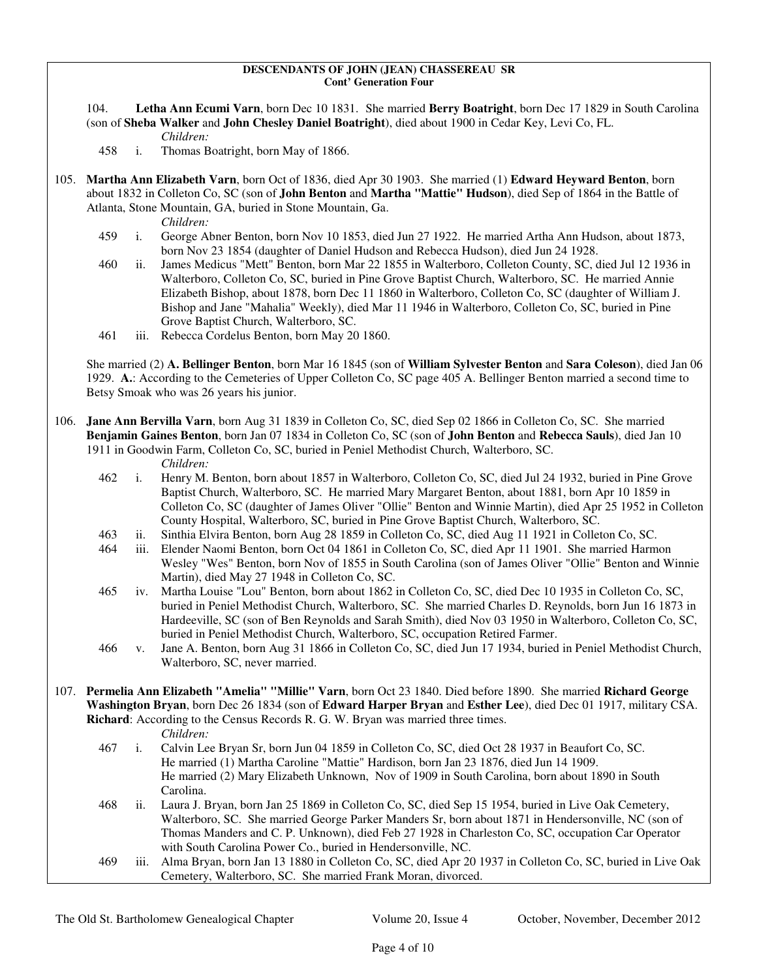#### **DESCENDANTS OF JOHN (JEAN) CHASSEREAU SR Cont' Generation Four**

- 104. **Letha Ann Ecumi Varn**, born Dec 10 1831. She married **Berry Boatright**, born Dec 17 1829 in South Carolina (son of **Sheba Walker** and **John Chesley Daniel Boatright**), died about 1900 in Cedar Key, Levi Co, FL.
	- *Children:*
	- 458 i. Thomas Boatright, born May of 1866.
- 105. **Martha Ann Elizabeth Varn**, born Oct of 1836, died Apr 30 1903. She married (1) **Edward Heyward Benton**, born about 1832 in Colleton Co, SC (son of **John Benton** and **Martha "Mattie" Hudson**), died Sep of 1864 in the Battle of Atlanta, Stone Mountain, GA, buried in Stone Mountain, Ga.

*Children:*

- 459 i. George Abner Benton, born Nov 10 1853, died Jun 27 1922. He married Artha Ann Hudson, about 1873, born Nov 23 1854 (daughter of Daniel Hudson and Rebecca Hudson), died Jun 24 1928.
- 460 ii. James Medicus "Mett" Benton, born Mar 22 1855 in Walterboro, Colleton County, SC, died Jul 12 1936 in Walterboro, Colleton Co, SC, buried in Pine Grove Baptist Church, Walterboro, SC. He married Annie Elizabeth Bishop, about 1878, born Dec 11 1860 in Walterboro, Colleton Co, SC (daughter of William J. Bishop and Jane "Mahalia" Weekly), died Mar 11 1946 in Walterboro, Colleton Co, SC, buried in Pine Grove Baptist Church, Walterboro, SC.
- 461 iii. Rebecca Cordelus Benton, born May 20 1860.

 She married (2) **A. Bellinger Benton**, born Mar 16 1845 (son of **William Sylvester Benton** and **Sara Coleson**), died Jan 06 1929. **A.**: According to the Cemeteries of Upper Colleton Co, SC page 405 A. Bellinger Benton married a second time to Betsy Smoak who was 26 years his junior.

106. **Jane Ann Bervilla Varn**, born Aug 31 1839 in Colleton Co, SC, died Sep 02 1866 in Colleton Co, SC. She married **Benjamin Gaines Benton**, born Jan 07 1834 in Colleton Co, SC (son of **John Benton** and **Rebecca Sauls**), died Jan 10 1911 in Goodwin Farm, Colleton Co, SC, buried in Peniel Methodist Church, Walterboro, SC.

# *Children:*

- 462 i. Henry M. Benton, born about 1857 in Walterboro, Colleton Co, SC, died Jul 24 1932, buried in Pine Grove Baptist Church, Walterboro, SC. He married Mary Margaret Benton, about 1881, born Apr 10 1859 in Colleton Co, SC (daughter of James Oliver "Ollie" Benton and Winnie Martin), died Apr 25 1952 in Colleton County Hospital, Walterboro, SC, buried in Pine Grove Baptist Church, Walterboro, SC.
- 463 ii. Sinthia Elvira Benton, born Aug 28 1859 in Colleton Co, SC, died Aug 11 1921 in Colleton Co, SC.
- 464 iii. Elender Naomi Benton, born Oct 04 1861 in Colleton Co, SC, died Apr 11 1901. She married Harmon Wesley "Wes" Benton, born Nov of 1855 in South Carolina (son of James Oliver "Ollie" Benton and Winnie Martin), died May 27 1948 in Colleton Co, SC.
- 465 iv. Martha Louise "Lou" Benton, born about 1862 in Colleton Co, SC, died Dec 10 1935 in Colleton Co, SC, buried in Peniel Methodist Church, Walterboro, SC. She married Charles D. Reynolds, born Jun 16 1873 in Hardeeville, SC (son of Ben Reynolds and Sarah Smith), died Nov 03 1950 in Walterboro, Colleton Co, SC, buried in Peniel Methodist Church, Walterboro, SC, occupation Retired Farmer.
- 466 v. Jane A. Benton, born Aug 31 1866 in Colleton Co, SC, died Jun 17 1934, buried in Peniel Methodist Church, Walterboro, SC, never married.
- 107. **Permelia Ann Elizabeth "Amelia" "Millie" Varn**, born Oct 23 1840. Died before 1890. She married **Richard George Washington Bryan**, born Dec 26 1834 (son of **Edward Harper Bryan** and **Esther Lee**), died Dec 01 1917, military CSA. **Richard**: According to the Census Records R. G. W. Bryan was married three times.

- 467 i. Calvin Lee Bryan Sr, born Jun 04 1859 in Colleton Co, SC, died Oct 28 1937 in Beaufort Co, SC. He married (1) Martha Caroline "Mattie" Hardison, born Jan 23 1876, died Jun 14 1909. He married (2) Mary Elizabeth Unknown, Nov of 1909 in South Carolina, born about 1890 in South Carolina.
- 468 ii. Laura J. Bryan, born Jan 25 1869 in Colleton Co, SC, died Sep 15 1954, buried in Live Oak Cemetery, Walterboro, SC. She married George Parker Manders Sr, born about 1871 in Hendersonville, NC (son of Thomas Manders and C. P. Unknown), died Feb 27 1928 in Charleston Co, SC, occupation Car Operator with South Carolina Power Co., buried in Hendersonville, NC.
- 469 iii. Alma Bryan, born Jan 13 1880 in Colleton Co, SC, died Apr 20 1937 in Colleton Co, SC, buried in Live Oak Cemetery, Walterboro, SC. She married Frank Moran, divorced.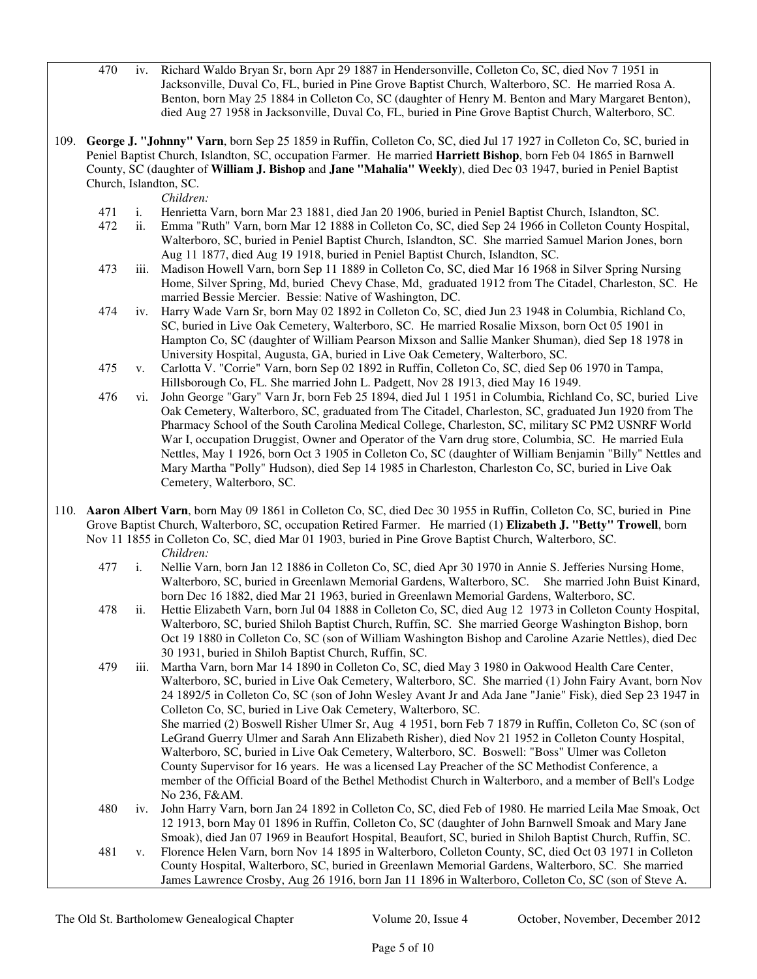- 470 iv. Richard Waldo Bryan Sr, born Apr 29 1887 in Hendersonville, Colleton Co, SC, died Nov 7 1951 in Jacksonville, Duval Co, FL, buried in Pine Grove Baptist Church, Walterboro, SC. He married Rosa A. Benton, born May 25 1884 in Colleton Co, SC (daughter of Henry M. Benton and Mary Margaret Benton), died Aug 27 1958 in Jacksonville, Duval Co, FL, buried in Pine Grove Baptist Church, Walterboro, SC.
- 109. **George J. "Johnny" Varn**, born Sep 25 1859 in Ruffin, Colleton Co, SC, died Jul 17 1927 in Colleton Co, SC, buried in Peniel Baptist Church, Islandton, SC, occupation Farmer. He married **Harriett Bishop**, born Feb 04 1865 in Barnwell County, SC (daughter of **William J. Bishop** and **Jane "Mahalia" Weekly**), died Dec 03 1947, buried in Peniel Baptist Church, Islandton, SC.

*Children:*

- 471 i. Henrietta Varn, born Mar 23 1881, died Jan 20 1906, buried in Peniel Baptist Church, Islandton, SC.
- 472 ii. Emma "Ruth" Varn, born Mar 12 1888 in Colleton Co, SC, died Sep 24 1966 in Colleton County Hospital, Walterboro, SC, buried in Peniel Baptist Church, Islandton, SC. She married Samuel Marion Jones, born Aug 11 1877, died Aug 19 1918, buried in Peniel Baptist Church, Islandton, SC.
- 473 iii. Madison Howell Varn, born Sep 11 1889 in Colleton Co, SC, died Mar 16 1968 in Silver Spring Nursing Home, Silver Spring, Md, buried Chevy Chase, Md, graduated 1912 from The Citadel, Charleston, SC. He married Bessie Mercier. Bessie: Native of Washington, DC.
- 474 iv. Harry Wade Varn Sr, born May 02 1892 in Colleton Co, SC, died Jun 23 1948 in Columbia, Richland Co, SC, buried in Live Oak Cemetery, Walterboro, SC. He married Rosalie Mixson, born Oct 05 1901 in Hampton Co, SC (daughter of William Pearson Mixson and Sallie Manker Shuman), died Sep 18 1978 in University Hospital, Augusta, GA, buried in Live Oak Cemetery, Walterboro, SC.
- 475 v. Carlotta V. "Corrie" Varn, born Sep 02 1892 in Ruffin, Colleton Co, SC, died Sep 06 1970 in Tampa, Hillsborough Co, FL. She married John L. Padgett, Nov 28 1913, died May 16 1949.
- 476 vi. John George "Gary" Varn Jr, born Feb 25 1894, died Jul 1 1951 in Columbia, Richland Co, SC, buried Live Oak Cemetery, Walterboro, SC, graduated from The Citadel, Charleston, SC, graduated Jun 1920 from The Pharmacy School of the South Carolina Medical College, Charleston, SC, military SC PM2 USNRF World War I, occupation Druggist, Owner and Operator of the Varn drug store, Columbia, SC. He married Eula Nettles, May 1 1926, born Oct 3 1905 in Colleton Co, SC (daughter of William Benjamin "Billy" Nettles and Mary Martha "Polly" Hudson), died Sep 14 1985 in Charleston, Charleston Co, SC, buried in Live Oak Cemetery, Walterboro, SC.
- 110. **Aaron Albert Varn**, born May 09 1861 in Colleton Co, SC, died Dec 30 1955 in Ruffin, Colleton Co, SC, buried in Pine Grove Baptist Church, Walterboro, SC, occupation Retired Farmer. He married (1) **Elizabeth J. "Betty" Trowell**, born Nov 11 1855 in Colleton Co, SC, died Mar 01 1903, buried in Pine Grove Baptist Church, Walterboro, SC.

- 477 i. Nellie Varn, born Jan 12 1886 in Colleton Co, SC, died Apr 30 1970 in Annie S. Jefferies Nursing Home, Walterboro, SC, buried in Greenlawn Memorial Gardens, Walterboro, SC. She married John Buist Kinard, born Dec 16 1882, died Mar 21 1963, buried in Greenlawn Memorial Gardens, Walterboro, SC.
- 478 ii. Hettie Elizabeth Varn, born Jul 04 1888 in Colleton Co, SC, died Aug 12 1973 in Colleton County Hospital, Walterboro, SC, buried Shiloh Baptist Church, Ruffin, SC. She married George Washington Bishop, born Oct 19 1880 in Colleton Co, SC (son of William Washington Bishop and Caroline Azarie Nettles), died Dec 30 1931, buried in Shiloh Baptist Church, Ruffin, SC.
- 479 iii. Martha Varn, born Mar 14 1890 in Colleton Co, SC, died May 3 1980 in Oakwood Health Care Center, Walterboro, SC, buried in Live Oak Cemetery, Walterboro, SC. She married (1) John Fairy Avant, born Nov 24 1892/5 in Colleton Co, SC (son of John Wesley Avant Jr and Ada Jane "Janie" Fisk), died Sep 23 1947 in Colleton Co, SC, buried in Live Oak Cemetery, Walterboro, SC. She married (2) Boswell Risher Ulmer Sr, Aug 4 1951, born Feb 7 1879 in Ruffin, Colleton Co, SC (son of LeGrand Guerry Ulmer and Sarah Ann Elizabeth Risher), died Nov 21 1952 in Colleton County Hospital, Walterboro, SC, buried in Live Oak Cemetery, Walterboro, SC. Boswell: "Boss" Ulmer was Colleton County Supervisor for 16 years. He was a licensed Lay Preacher of the SC Methodist Conference, a member of the Official Board of the Bethel Methodist Church in Walterboro, and a member of Bell's Lodge No 236, F&AM. 480 iv. John Harry Varn, born Jan 24 1892 in Colleton Co, SC, died Feb of 1980. He married Leila Mae Smoak, Oct
- 12 1913, born May 01 1896 in Ruffin, Colleton Co, SC (daughter of John Barnwell Smoak and Mary Jane Smoak), died Jan 07 1969 in Beaufort Hospital, Beaufort, SC, buried in Shiloh Baptist Church, Ruffin, SC.
- 481 v. Florence Helen Varn, born Nov 14 1895 in Walterboro, Colleton County, SC, died Oct 03 1971 in Colleton County Hospital, Walterboro, SC, buried in Greenlawn Memorial Gardens, Walterboro, SC. She married James Lawrence Crosby, Aug 26 1916, born Jan 11 1896 in Walterboro, Colleton Co, SC (son of Steve A.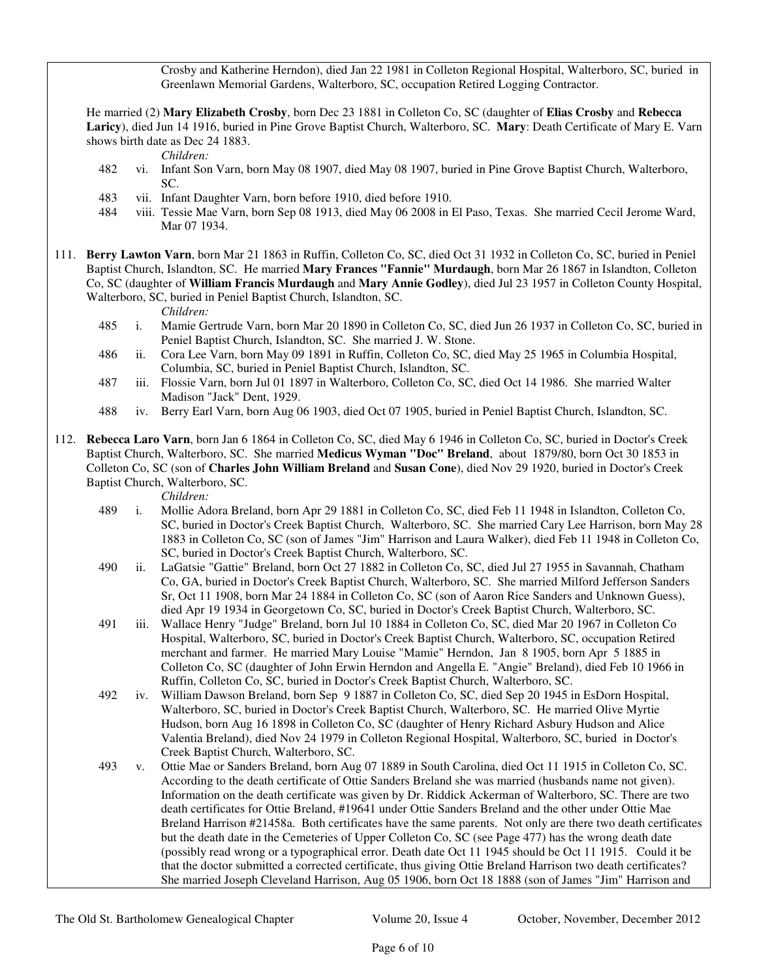Crosby and Katherine Herndon), died Jan 22 1981 in Colleton Regional Hospital, Walterboro, SC, buried in Greenlawn Memorial Gardens, Walterboro, SC, occupation Retired Logging Contractor.

 He married (2) **Mary Elizabeth Crosby**, born Dec 23 1881 in Colleton Co, SC (daughter of **Elias Crosby** and **Rebecca Laricy**), died Jun 14 1916, buried in Pine Grove Baptist Church, Walterboro, SC. **Mary**: Death Certificate of Mary E. Varn shows birth date as Dec 24 1883.

*Children:*

- 482 vi. Infant Son Varn, born May 08 1907, died May 08 1907, buried in Pine Grove Baptist Church, Walterboro, SC.
- 483 vii. Infant Daughter Varn, born before 1910, died before 1910.
- 484 viii. Tessie Mae Varn, born Sep 08 1913, died May 06 2008 in El Paso, Texas. She married Cecil Jerome Ward, Mar 07 1934.

111. **Berry Lawton Varn**, born Mar 21 1863 in Ruffin, Colleton Co, SC, died Oct 31 1932 in Colleton Co, SC, buried in Peniel Baptist Church, Islandton, SC. He married **Mary Frances "Fannie" Murdaugh**, born Mar 26 1867 in Islandton, Colleton Co, SC (daughter of **William Francis Murdaugh** and **Mary Annie Godley**), died Jul 23 1957 in Colleton County Hospital, Walterboro, SC, buried in Peniel Baptist Church, Islandton, SC.

*Children:*

- 485 i. Mamie Gertrude Varn, born Mar 20 1890 in Colleton Co, SC, died Jun 26 1937 in Colleton Co, SC, buried in Peniel Baptist Church, Islandton, SC. She married J. W. Stone.
- 486 ii. Cora Lee Varn, born May 09 1891 in Ruffin, Colleton Co, SC, died May 25 1965 in Columbia Hospital, Columbia, SC, buried in Peniel Baptist Church, Islandton, SC.
- 487 iii. Flossie Varn, born Jul 01 1897 in Walterboro, Colleton Co, SC, died Oct 14 1986. She married Walter Madison "Jack" Dent, 1929.
- 488 iv. Berry Earl Varn, born Aug 06 1903, died Oct 07 1905, buried in Peniel Baptist Church, Islandton, SC.
- 112. **Rebecca Laro Varn**, born Jan 6 1864 in Colleton Co, SC, died May 6 1946 in Colleton Co, SC, buried in Doctor's Creek Baptist Church, Walterboro, SC. She married **Medicus Wyman "Doc" Breland**, about 1879/80, born Oct 30 1853 in Colleton Co, SC (son of **Charles John William Breland** and **Susan Cone**), died Nov 29 1920, buried in Doctor's Creek Baptist Church, Walterboro, SC.

- 489 i. Mollie Adora Breland, born Apr 29 1881 in Colleton Co, SC, died Feb 11 1948 in Islandton, Colleton Co, SC, buried in Doctor's Creek Baptist Church, Walterboro, SC. She married Cary Lee Harrison, born May 28 1883 in Colleton Co, SC (son of James "Jim" Harrison and Laura Walker), died Feb 11 1948 in Colleton Co, SC, buried in Doctor's Creek Baptist Church, Walterboro, SC.
- 490 ii. LaGatsie "Gattie" Breland, born Oct 27 1882 in Colleton Co, SC, died Jul 27 1955 in Savannah, Chatham Co, GA, buried in Doctor's Creek Baptist Church, Walterboro, SC. She married Milford Jefferson Sanders Sr, Oct 11 1908, born Mar 24 1884 in Colleton Co, SC (son of Aaron Rice Sanders and Unknown Guess), died Apr 19 1934 in Georgetown Co, SC, buried in Doctor's Creek Baptist Church, Walterboro, SC.
- 491 iii. Wallace Henry "Judge" Breland, born Jul 10 1884 in Colleton Co, SC, died Mar 20 1967 in Colleton Co Hospital, Walterboro, SC, buried in Doctor's Creek Baptist Church, Walterboro, SC, occupation Retired merchant and farmer. He married Mary Louise "Mamie" Herndon, Jan 8 1905, born Apr 5 1885 in Colleton Co, SC (daughter of John Erwin Herndon and Angella E. "Angie" Breland), died Feb 10 1966 in Ruffin, Colleton Co, SC, buried in Doctor's Creek Baptist Church, Walterboro, SC.
- 492 iv. William Dawson Breland, born Sep 9 1887 in Colleton Co, SC, died Sep 20 1945 in EsDorn Hospital, Walterboro, SC, buried in Doctor's Creek Baptist Church, Walterboro, SC. He married Olive Myrtie Hudson, born Aug 16 1898 in Colleton Co, SC (daughter of Henry Richard Asbury Hudson and Alice Valentia Breland), died Nov 24 1979 in Colleton Regional Hospital, Walterboro, SC, buried in Doctor's Creek Baptist Church, Walterboro, SC.
- 493 v. Ottie Mae or Sanders Breland, born Aug 07 1889 in South Carolina, died Oct 11 1915 in Colleton Co, SC. According to the death certificate of Ottie Sanders Breland she was married (husbands name not given). Information on the death certificate was given by Dr. Riddick Ackerman of Walterboro, SC. There are two death certificates for Ottie Breland, #19641 under Ottie Sanders Breland and the other under Ottie Mae Breland Harrison #21458a. Both certificates have the same parents. Not only are there two death certificates but the death date in the Cemeteries of Upper Colleton Co, SC (see Page 477) has the wrong death date (possibly read wrong or a typographical error. Death date Oct 11 1945 should be Oct 11 1915. Could it be that the doctor submitted a corrected certificate, thus giving Ottie Breland Harrison two death certificates? She married Joseph Cleveland Harrison, Aug 05 1906, born Oct 18 1888 (son of James "Jim" Harrison and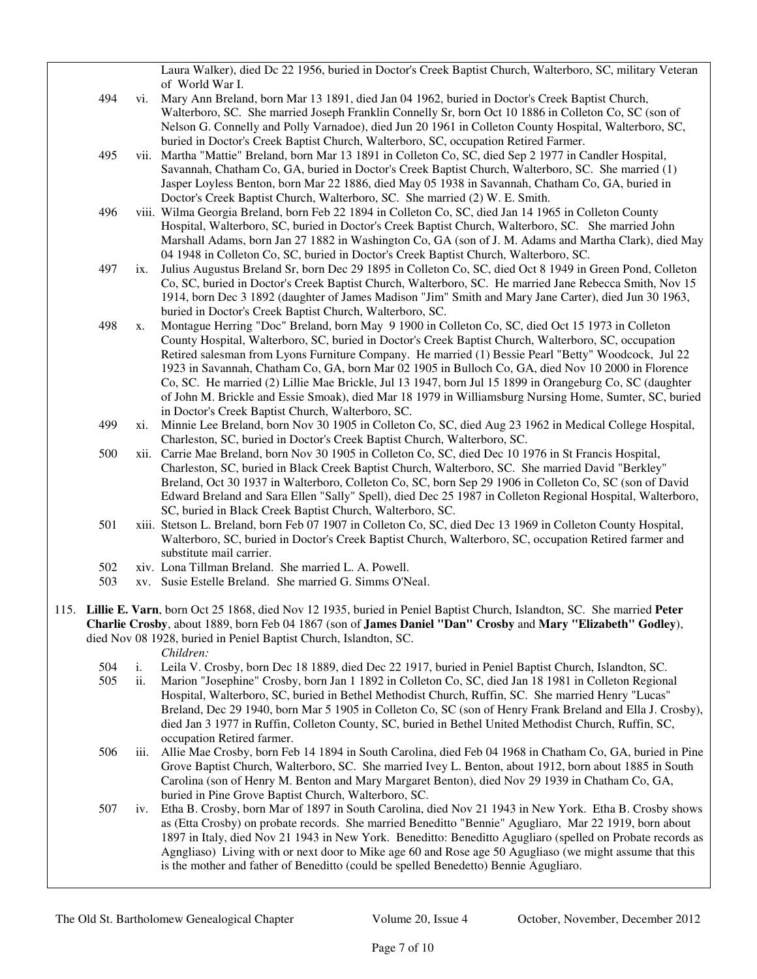Laura Walker), died Dc 22 1956, buried in Doctor's Creek Baptist Church, Walterboro, SC, military Veteran of World War I.

- 494 vi. Mary Ann Breland, born Mar 13 1891, died Jan 04 1962, buried in Doctor's Creek Baptist Church, Walterboro, SC. She married Joseph Franklin Connelly Sr, born Oct 10 1886 in Colleton Co, SC (son of Nelson G. Connelly and Polly Varnadoe), died Jun 20 1961 in Colleton County Hospital, Walterboro, SC, buried in Doctor's Creek Baptist Church, Walterboro, SC, occupation Retired Farmer.
- 495 vii. Martha "Mattie" Breland, born Mar 13 1891 in Colleton Co, SC, died Sep 2 1977 in Candler Hospital, Savannah, Chatham Co, GA, buried in Doctor's Creek Baptist Church, Walterboro, SC. She married (1) Jasper Loyless Benton, born Mar 22 1886, died May 05 1938 in Savannah, Chatham Co, GA, buried in Doctor's Creek Baptist Church, Walterboro, SC. She married (2) W. E. Smith.
- 496 viii. Wilma Georgia Breland, born Feb 22 1894 in Colleton Co, SC, died Jan 14 1965 in Colleton County Hospital, Walterboro, SC, buried in Doctor's Creek Baptist Church, Walterboro, SC. She married John Marshall Adams, born Jan 27 1882 in Washington Co, GA (son of J. M. Adams and Martha Clark), died May 04 1948 in Colleton Co, SC, buried in Doctor's Creek Baptist Church, Walterboro, SC.
- 497 ix. Julius Augustus Breland Sr, born Dec 29 1895 in Colleton Co, SC, died Oct 8 1949 in Green Pond, Colleton Co, SC, buried in Doctor's Creek Baptist Church, Walterboro, SC. He married Jane Rebecca Smith, Nov 15 1914, born Dec 3 1892 (daughter of James Madison "Jim" Smith and Mary Jane Carter), died Jun 30 1963, buried in Doctor's Creek Baptist Church, Walterboro, SC.
- 498 x. Montague Herring "Doc" Breland, born May 9 1900 in Colleton Co, SC, died Oct 15 1973 in Colleton County Hospital, Walterboro, SC, buried in Doctor's Creek Baptist Church, Walterboro, SC, occupation Retired salesman from Lyons Furniture Company. He married (1) Bessie Pearl "Betty" Woodcock, Jul 22 1923 in Savannah, Chatham Co, GA, born Mar 02 1905 in Bulloch Co, GA, died Nov 10 2000 in Florence Co, SC. He married (2) Lillie Mae Brickle, Jul 13 1947, born Jul 15 1899 in Orangeburg Co, SC (daughter of John M. Brickle and Essie Smoak), died Mar 18 1979 in Williamsburg Nursing Home, Sumter, SC, buried in Doctor's Creek Baptist Church, Walterboro, SC.
- 499 xi. Minnie Lee Breland, born Nov 30 1905 in Colleton Co, SC, died Aug 23 1962 in Medical College Hospital, Charleston, SC, buried in Doctor's Creek Baptist Church, Walterboro, SC.
- 500 xii. Carrie Mae Breland, born Nov 30 1905 in Colleton Co, SC, died Dec 10 1976 in St Francis Hospital, Charleston, SC, buried in Black Creek Baptist Church, Walterboro, SC. She married David "Berkley" Breland, Oct 30 1937 in Walterboro, Colleton Co, SC, born Sep 29 1906 in Colleton Co, SC (son of David Edward Breland and Sara Ellen "Sally" Spell), died Dec 25 1987 in Colleton Regional Hospital, Walterboro, SC, buried in Black Creek Baptist Church, Walterboro, SC.
- 501 xiii. Stetson L. Breland, born Feb 07 1907 in Colleton Co, SC, died Dec 13 1969 in Colleton County Hospital, Walterboro, SC, buried in Doctor's Creek Baptist Church, Walterboro, SC, occupation Retired farmer and substitute mail carrier.
- 502 xiv. Lona Tillman Breland. She married L. A. Powell.
- 503 xv. Susie Estelle Breland. She married G. Simms O'Neal.
- 115. **Lillie E. Varn**, born Oct 25 1868, died Nov 12 1935, buried in Peniel Baptist Church, Islandton, SC. She married **Peter Charlie Crosby**, about 1889, born Feb 04 1867 (son of **James Daniel "Dan" Crosby** and **Mary "Elizabeth" Godley**), died Nov 08 1928, buried in Peniel Baptist Church, Islandton, SC.
	- *Children:* 504 i. Leila V. Crosby, born Dec 18 1889, died Dec 22 1917, buried in Peniel Baptist Church, Islandton, SC.
	- 505 ii. Marion "Josephine" Crosby, born Jan 1 1892 in Colleton Co, SC, died Jan 18 1981 in Colleton Regional Hospital, Walterboro, SC, buried in Bethel Methodist Church, Ruffin, SC. She married Henry "Lucas" Breland, Dec 29 1940, born Mar 5 1905 in Colleton Co, SC (son of Henry Frank Breland and Ella J. Crosby), died Jan 3 1977 in Ruffin, Colleton County, SC, buried in Bethel United Methodist Church, Ruffin, SC, occupation Retired farmer.
	- 506 iii. Allie Mae Crosby, born Feb 14 1894 in South Carolina, died Feb 04 1968 in Chatham Co, GA, buried in Pine Grove Baptist Church, Walterboro, SC. She married Ivey L. Benton, about 1912, born about 1885 in South Carolina (son of Henry M. Benton and Mary Margaret Benton), died Nov 29 1939 in Chatham Co, GA, buried in Pine Grove Baptist Church, Walterboro, SC.
	- 507 iv. Etha B. Crosby, born Mar of 1897 in South Carolina, died Nov 21 1943 in New York. Etha B. Crosby shows as (Etta Crosby) on probate records. She married Beneditto "Bennie" Agugliaro, Mar 22 1919, born about 1897 in Italy, died Nov 21 1943 in New York. Beneditto: Beneditto Agugliaro (spelled on Probate records as Agngliaso) Living with or next door to Mike age 60 and Rose age 50 Agugliaso (we might assume that this is the mother and father of Beneditto (could be spelled Benedetto) Bennie Agugliaro.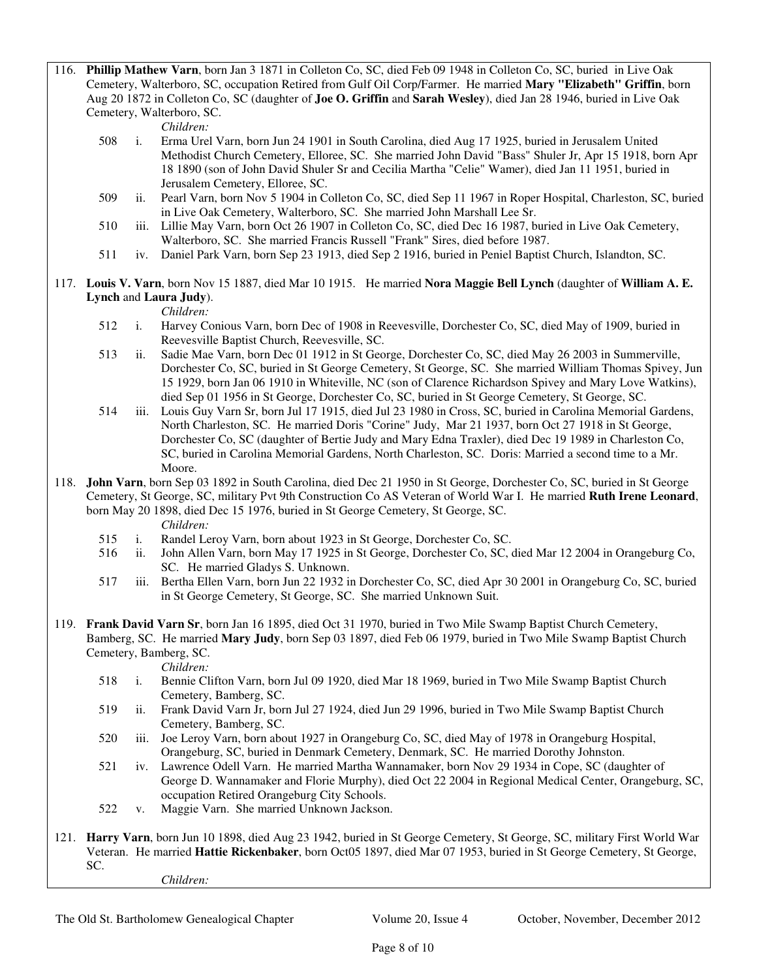116. **Phillip Mathew Varn**, born Jan 3 1871 in Colleton Co, SC, died Feb 09 1948 in Colleton Co, SC, buried in Live Oak Cemetery, Walterboro, SC, occupation Retired from Gulf Oil Corp/Farmer. He married **Mary "Elizabeth" Griffin**, born Aug 20 1872 in Colleton Co, SC (daughter of **Joe O. Griffin** and **Sarah Wesley**), died Jan 28 1946, buried in Live Oak Cemetery, Walterboro, SC.

*Children:*

- 508 i. Erma Urel Varn, born Jun 24 1901 in South Carolina, died Aug 17 1925, buried in Jerusalem United Methodist Church Cemetery, Elloree, SC. She married John David "Bass" Shuler Jr, Apr 15 1918, born Apr 18 1890 (son of John David Shuler Sr and Cecilia Martha "Celie" Wamer), died Jan 11 1951, buried in Jerusalem Cemetery, Elloree, SC.
- 509 ii. Pearl Varn, born Nov 5 1904 in Colleton Co, SC, died Sep 11 1967 in Roper Hospital, Charleston, SC, buried in Live Oak Cemetery, Walterboro, SC. She married John Marshall Lee Sr.
- 510 iii. Lillie May Varn, born Oct 26 1907 in Colleton Co, SC, died Dec 16 1987, buried in Live Oak Cemetery, Walterboro, SC. She married Francis Russell "Frank" Sires, died before 1987.
- 511 iv. Daniel Park Varn, born Sep 23 1913, died Sep 2 1916, buried in Peniel Baptist Church, Islandton, SC.
- 117. **Louis V. Varn**, born Nov 15 1887, died Mar 10 1915. He married **Nora Maggie Bell Lynch** (daughter of **William A. E. Lynch** and **Laura Judy**).

#### *Children:*

- 512 i. Harvey Conious Varn, born Dec of 1908 in Reevesville, Dorchester Co, SC, died May of 1909, buried in Reevesville Baptist Church, Reevesville, SC.
- 513 ii. Sadie Mae Varn, born Dec 01 1912 in St George, Dorchester Co, SC, died May 26 2003 in Summerville, Dorchester Co, SC, buried in St George Cemetery, St George, SC. She married William Thomas Spivey, Jun 15 1929, born Jan 06 1910 in Whiteville, NC (son of Clarence Richardson Spivey and Mary Love Watkins), died Sep 01 1956 in St George, Dorchester Co, SC, buried in St George Cemetery, St George, SC.
- 514 iii. Louis Guy Varn Sr, born Jul 17 1915, died Jul 23 1980 in Cross, SC, buried in Carolina Memorial Gardens, North Charleston, SC. He married Doris "Corine" Judy, Mar 21 1937, born Oct 27 1918 in St George, Dorchester Co, SC (daughter of Bertie Judy and Mary Edna Traxler), died Dec 19 1989 in Charleston Co, SC, buried in Carolina Memorial Gardens, North Charleston, SC. Doris: Married a second time to a Mr. Moore.
- 118. **John Varn**, born Sep 03 1892 in South Carolina, died Dec 21 1950 in St George, Dorchester Co, SC, buried in St George Cemetery, St George, SC, military Pvt 9th Construction Co AS Veteran of World War I. He married **Ruth Irene Leonard**, born May 20 1898, died Dec 15 1976, buried in St George Cemetery, St George, SC. *Children:*
	- 515 i. Randel Leroy Varn, born about 1923 in St George, Dorchester Co, SC.
	- 516 ii. John Allen Varn, born May 17 1925 in St George, Dorchester Co, SC, died Mar 12 2004 in Orangeburg Co, SC. He married Gladys S. Unknown.
	- 517 iii. Bertha Ellen Varn, born Jun 22 1932 in Dorchester Co, SC, died Apr 30 2001 in Orangeburg Co, SC, buried in St George Cemetery, St George, SC. She married Unknown Suit.
- 119. **Frank David Varn Sr**, born Jan 16 1895, died Oct 31 1970, buried in Two Mile Swamp Baptist Church Cemetery, Bamberg, SC. He married **Mary Judy**, born Sep 03 1897, died Feb 06 1979, buried in Two Mile Swamp Baptist Church Cemetery, Bamberg, SC.

*Children:*

- 518 i. Bennie Clifton Varn, born Jul 09 1920, died Mar 18 1969, buried in Two Mile Swamp Baptist Church Cemetery, Bamberg, SC.
- 519 ii. Frank David Varn Jr, born Jul 27 1924, died Jun 29 1996, buried in Two Mile Swamp Baptist Church Cemetery, Bamberg, SC.
- 520 iii. Joe Leroy Varn, born about 1927 in Orangeburg Co, SC, died May of 1978 in Orangeburg Hospital, Orangeburg, SC, buried in Denmark Cemetery, Denmark, SC. He married Dorothy Johnston.
- 521 iv. Lawrence Odell Varn. He married Martha Wannamaker, born Nov 29 1934 in Cope, SC (daughter of George D. Wannamaker and Florie Murphy), died Oct 22 2004 in Regional Medical Center, Orangeburg, SC, occupation Retired Orangeburg City Schools.
- 522 v. Maggie Varn. She married Unknown Jackson.
- 121. **Harry Varn**, born Jun 10 1898, died Aug 23 1942, buried in St George Cemetery, St George, SC, military First World War Veteran. He married **Hattie Rickenbaker**, born Oct05 1897, died Mar 07 1953, buried in St George Cemetery, St George, SC.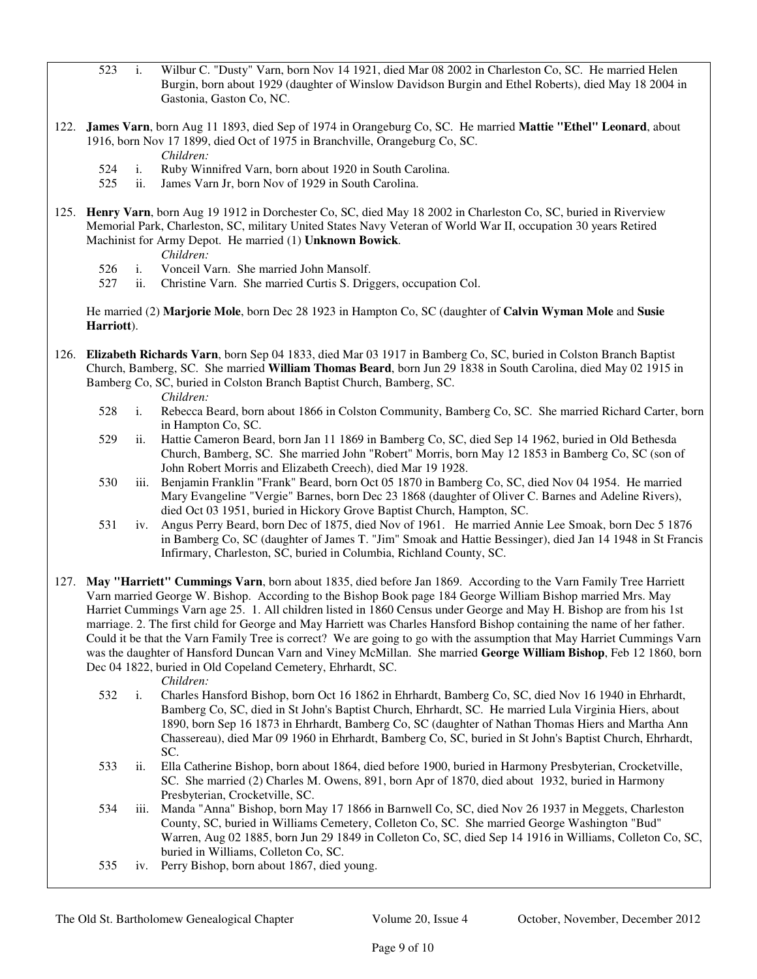- 523 i. Wilbur C. "Dusty" Varn, born Nov 14 1921, died Mar 08 2002 in Charleston Co, SC. He married Helen Burgin, born about 1929 (daughter of Winslow Davidson Burgin and Ethel Roberts), died May 18 2004 in Gastonia, Gaston Co, NC.
- 122. **James Varn**, born Aug 11 1893, died Sep of 1974 in Orangeburg Co, SC. He married **Mattie "Ethel" Leonard**, about 1916, born Nov 17 1899, died Oct of 1975 in Branchville, Orangeburg Co, SC.

*Children:*

- 524 i. Ruby Winnifred Varn, born about 1920 in South Carolina.
- 525 ii. James Varn Jr, born Nov of 1929 in South Carolina.
- 125. **Henry Varn**, born Aug 19 1912 in Dorchester Co, SC, died May 18 2002 in Charleston Co, SC, buried in Riverview Memorial Park, Charleston, SC, military United States Navy Veteran of World War II, occupation 30 years Retired Machinist for Army Depot. He married (1) **Unknown Bowick**.
	- *Children:*
	- 526 i. Vonceil Varn. She married John Mansolf.
	- 527 ii. Christine Varn. She married Curtis S. Driggers, occupation Col.

 He married (2) **Marjorie Mole**, born Dec 28 1923 in Hampton Co, SC (daughter of **Calvin Wyman Mole** and **Susie Harriott**).

126. **Elizabeth Richards Varn**, born Sep 04 1833, died Mar 03 1917 in Bamberg Co, SC, buried in Colston Branch Baptist Church, Bamberg, SC. She married **William Thomas Beard**, born Jun 29 1838 in South Carolina, died May 02 1915 in Bamberg Co, SC, buried in Colston Branch Baptist Church, Bamberg, SC.

*Children:*

- 528 i. Rebecca Beard, born about 1866 in Colston Community, Bamberg Co, SC. She married Richard Carter, born in Hampton Co, SC.
- 529 ii. Hattie Cameron Beard, born Jan 11 1869 in Bamberg Co, SC, died Sep 14 1962, buried in Old Bethesda Church, Bamberg, SC. She married John "Robert" Morris, born May 12 1853 in Bamberg Co, SC (son of John Robert Morris and Elizabeth Creech), died Mar 19 1928.
- 530 iii. Benjamin Franklin "Frank" Beard, born Oct 05 1870 in Bamberg Co, SC, died Nov 04 1954. He married Mary Evangeline "Vergie" Barnes, born Dec 23 1868 (daughter of Oliver C. Barnes and Adeline Rivers), died Oct 03 1951, buried in Hickory Grove Baptist Church, Hampton, SC.
- 531 iv. Angus Perry Beard, born Dec of 1875, died Nov of 1961. He married Annie Lee Smoak, born Dec 5 1876 in Bamberg Co, SC (daughter of James T. "Jim" Smoak and Hattie Bessinger), died Jan 14 1948 in St Francis Infirmary, Charleston, SC, buried in Columbia, Richland County, SC.
- 127. **May "Harriett" Cummings Varn**, born about 1835, died before Jan 1869. According to the Varn Family Tree Harriett Varn married George W. Bishop. According to the Bishop Book page 184 George William Bishop married Mrs. May Harriet Cummings Varn age 25. 1. All children listed in 1860 Census under George and May H. Bishop are from his 1st marriage. 2. The first child for George and May Harriett was Charles Hansford Bishop containing the name of her father. Could it be that the Varn Family Tree is correct? We are going to go with the assumption that May Harriet Cummings Varn was the daughter of Hansford Duncan Varn and Viney McMillan. She married **George William Bishop**, Feb 12 1860, born Dec 04 1822, buried in Old Copeland Cemetery, Ehrhardt, SC.

- 532 i. Charles Hansford Bishop, born Oct 16 1862 in Ehrhardt, Bamberg Co, SC, died Nov 16 1940 in Ehrhardt, Bamberg Co, SC, died in St John's Baptist Church, Ehrhardt, SC. He married Lula Virginia Hiers, about 1890, born Sep 16 1873 in Ehrhardt, Bamberg Co, SC (daughter of Nathan Thomas Hiers and Martha Ann Chassereau), died Mar 09 1960 in Ehrhardt, Bamberg Co, SC, buried in St John's Baptist Church, Ehrhardt, SC.
- 533 ii. Ella Catherine Bishop, born about 1864, died before 1900, buried in Harmony Presbyterian, Crocketville, SC. She married (2) Charles M. Owens, 891, born Apr of 1870, died about 1932, buried in Harmony Presbyterian, Crocketville, SC.
- 534 iii. Manda "Anna" Bishop, born May 17 1866 in Barnwell Co, SC, died Nov 26 1937 in Meggets, Charleston County, SC, buried in Williams Cemetery, Colleton Co, SC. She married George Washington "Bud" Warren, Aug 02 1885, born Jun 29 1849 in Colleton Co, SC, died Sep 14 1916 in Williams, Colleton Co, SC, buried in Williams, Colleton Co, SC.
- 535 iv. Perry Bishop, born about 1867, died young.